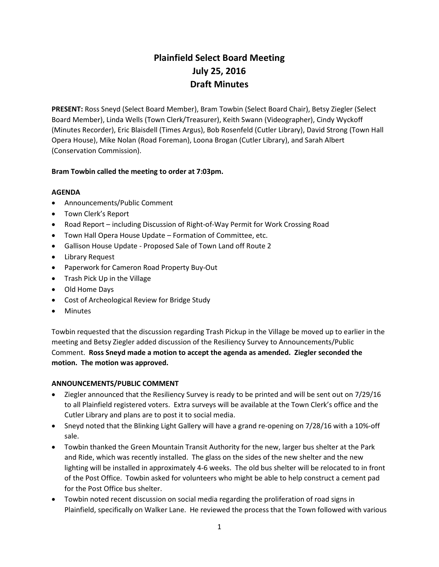# Plainfield Select Board Meeting July 25, 2016 Draft Minutes

PRESENT: Ross Sneyd (Select Board Member), Bram Towbin (Select Board Chair), Betsy Ziegler (Select Board Member), Linda Wells (Town Clerk/Treasurer), Keith Swann (Videographer), Cindy Wyckoff (Minutes Recorder), Eric Blaisdell (Times Argus), Bob Rosenfeld (Cutler Library), David Strong (Town Hall Opera House), Mike Nolan (Road Foreman), Loona Brogan (Cutler Library), and Sarah Albert (Conservation Commission).

# Bram Towbin called the meeting to order at 7:03pm.

# AGENDA

- Announcements/Public Comment
- Town Clerk's Report
- Road Report including Discussion of Right-of-Way Permit for Work Crossing Road
- Town Hall Opera House Update Formation of Committee, etc.
- Gallison House Update Proposed Sale of Town Land off Route 2
- Library Request
- Paperwork for Cameron Road Property Buy-Out
- Trash Pick Up in the Village
- Old Home Days
- Cost of Archeological Review for Bridge Study
- Minutes

Towbin requested that the discussion regarding Trash Pickup in the Village be moved up to earlier in the meeting and Betsy Ziegler added discussion of the Resiliency Survey to Announcements/Public Comment. Ross Sneyd made a motion to accept the agenda as amended. Ziegler seconded the motion. The motion was approved.

# ANNOUNCEMENTS/PUBLIC COMMENT

- Ziegler announced that the Resiliency Survey is ready to be printed and will be sent out on 7/29/16 to all Plainfield registered voters. Extra surveys will be available at the Town Clerk's office and the Cutler Library and plans are to post it to social media.
- Sneyd noted that the Blinking Light Gallery will have a grand re-opening on 7/28/16 with a 10%-off sale.
- Towbin thanked the Green Mountain Transit Authority for the new, larger bus shelter at the Park and Ride, which was recently installed. The glass on the sides of the new shelter and the new lighting will be installed in approximately 4-6 weeks. The old bus shelter will be relocated to in front of the Post Office. Towbin asked for volunteers who might be able to help construct a cement pad for the Post Office bus shelter.
- Towbin noted recent discussion on social media regarding the proliferation of road signs in Plainfield, specifically on Walker Lane. He reviewed the process that the Town followed with various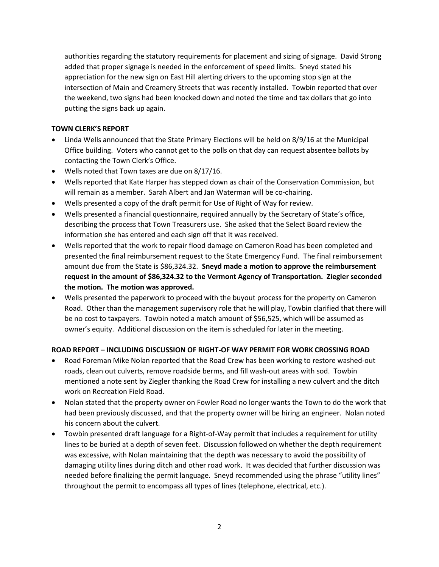authorities regarding the statutory requirements for placement and sizing of signage. David Strong added that proper signage is needed in the enforcement of speed limits. Sneyd stated his appreciation for the new sign on East Hill alerting drivers to the upcoming stop sign at the intersection of Main and Creamery Streets that was recently installed. Towbin reported that over the weekend, two signs had been knocked down and noted the time and tax dollars that go into putting the signs back up again.

# TOWN CLERK'S REPORT

- Linda Wells announced that the State Primary Elections will be held on 8/9/16 at the Municipal Office building. Voters who cannot get to the polls on that day can request absentee ballots by contacting the Town Clerk's Office.
- Wells noted that Town taxes are due on 8/17/16.
- Wells reported that Kate Harper has stepped down as chair of the Conservation Commission, but will remain as a member. Sarah Albert and Jan Waterman will be co-chairing.
- Wells presented a copy of the draft permit for Use of Right of Way for review.
- Wells presented a financial questionnaire, required annually by the Secretary of State's office, describing the process that Town Treasurers use. She asked that the Select Board review the information she has entered and each sign off that it was received.
- Wells reported that the work to repair flood damage on Cameron Road has been completed and presented the final reimbursement request to the State Emergency Fund. The final reimbursement amount due from the State is \$86,324.32. Sneyd made a motion to approve the reimbursement request in the amount of \$86,324.32 to the Vermont Agency of Transportation. Ziegler seconded the motion. The motion was approved.
- Wells presented the paperwork to proceed with the buyout process for the property on Cameron Road. Other than the management supervisory role that he will play, Towbin clarified that there will be no cost to taxpayers. Towbin noted a match amount of \$56,525, which will be assumed as owner's equity. Additional discussion on the item is scheduled for later in the meeting.

# ROAD REPORT – INCLUDING DISCUSSION OF RIGHT-OF WAY PERMIT FOR WORK CROSSING ROAD

- Road Foreman Mike Nolan reported that the Road Crew has been working to restore washed-out roads, clean out culverts, remove roadside berms, and fill wash-out areas with sod. Towbin mentioned a note sent by Ziegler thanking the Road Crew for installing a new culvert and the ditch work on Recreation Field Road.
- Nolan stated that the property owner on Fowler Road no longer wants the Town to do the work that had been previously discussed, and that the property owner will be hiring an engineer. Nolan noted his concern about the culvert.
- Towbin presented draft language for a Right-of-Way permit that includes a requirement for utility lines to be buried at a depth of seven feet. Discussion followed on whether the depth requirement was excessive, with Nolan maintaining that the depth was necessary to avoid the possibility of damaging utility lines during ditch and other road work. It was decided that further discussion was needed before finalizing the permit language. Sneyd recommended using the phrase "utility lines" throughout the permit to encompass all types of lines (telephone, electrical, etc.).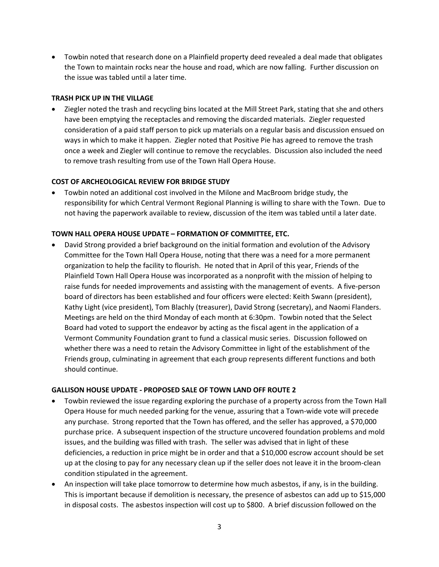Towbin noted that research done on a Plainfield property deed revealed a deal made that obligates the Town to maintain rocks near the house and road, which are now falling. Further discussion on the issue was tabled until a later time.

#### TRASH PICK UP IN THE VILLAGE

 Ziegler noted the trash and recycling bins located at the Mill Street Park, stating that she and others have been emptying the receptacles and removing the discarded materials. Ziegler requested consideration of a paid staff person to pick up materials on a regular basis and discussion ensued on ways in which to make it happen. Ziegler noted that Positive Pie has agreed to remove the trash once a week and Ziegler will continue to remove the recyclables. Discussion also included the need to remove trash resulting from use of the Town Hall Opera House.

## COST OF ARCHEOLOGICAL REVIEW FOR BRIDGE STUDY

 Towbin noted an additional cost involved in the Milone and MacBroom bridge study, the responsibility for which Central Vermont Regional Planning is willing to share with the Town. Due to not having the paperwork available to review, discussion of the item was tabled until a later date.

#### TOWN HALL OPERA HOUSE UPDATE – FORMATION OF COMMITTEE, ETC.

 David Strong provided a brief background on the initial formation and evolution of the Advisory Committee for the Town Hall Opera House, noting that there was a need for a more permanent organization to help the facility to flourish. He noted that in April of this year, Friends of the Plainfield Town Hall Opera House was incorporated as a nonprofit with the mission of helping to raise funds for needed improvements and assisting with the management of events. A five-person board of directors has been established and four officers were elected: Keith Swann (president), Kathy Light (vice president), Tom Blachly (treasurer), David Strong (secretary), and Naomi Flanders. Meetings are held on the third Monday of each month at 6:30pm. Towbin noted that the Select Board had voted to support the endeavor by acting as the fiscal agent in the application of a Vermont Community Foundation grant to fund a classical music series. Discussion followed on whether there was a need to retain the Advisory Committee in light of the establishment of the Friends group, culminating in agreement that each group represents different functions and both should continue.

#### GALLISON HOUSE UPDATE - PROPOSED SALE OF TOWN LAND OFF ROUTE 2

- Towbin reviewed the issue regarding exploring the purchase of a property across from the Town Hall Opera House for much needed parking for the venue, assuring that a Town-wide vote will precede any purchase. Strong reported that the Town has offered, and the seller has approved, a \$70,000 purchase price. A subsequent inspection of the structure uncovered foundation problems and mold issues, and the building was filled with trash. The seller was advised that in light of these deficiencies, a reduction in price might be in order and that a \$10,000 escrow account should be set up at the closing to pay for any necessary clean up if the seller does not leave it in the broom-clean condition stipulated in the agreement.
- An inspection will take place tomorrow to determine how much asbestos, if any, is in the building. This is important because if demolition is necessary, the presence of asbestos can add up to \$15,000 in disposal costs. The asbestos inspection will cost up to \$800. A brief discussion followed on the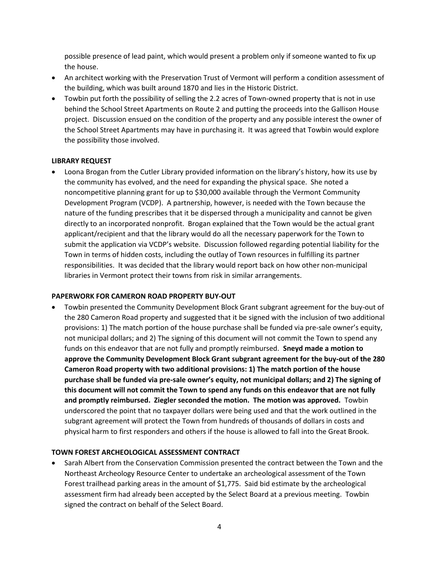possible presence of lead paint, which would present a problem only if someone wanted to fix up the house.

- An architect working with the Preservation Trust of Vermont will perform a condition assessment of the building, which was built around 1870 and lies in the Historic District.
- Towbin put forth the possibility of selling the 2.2 acres of Town-owned property that is not in use behind the School Street Apartments on Route 2 and putting the proceeds into the Gallison House project. Discussion ensued on the condition of the property and any possible interest the owner of the School Street Apartments may have in purchasing it. It was agreed that Towbin would explore the possibility those involved.

## LIBRARY REQUEST

 Loona Brogan from the Cutler Library provided information on the library's history, how its use by the community has evolved, and the need for expanding the physical space. She noted a noncompetitive planning grant for up to \$30,000 available through the Vermont Community Development Program (VCDP). A partnership, however, is needed with the Town because the nature of the funding prescribes that it be dispersed through a municipality and cannot be given directly to an incorporated nonprofit. Brogan explained that the Town would be the actual grant applicant/recipient and that the library would do all the necessary paperwork for the Town to submit the application via VCDP's website. Discussion followed regarding potential liability for the Town in terms of hidden costs, including the outlay of Town resources in fulfilling its partner responsibilities. It was decided that the library would report back on how other non-municipal libraries in Vermont protect their towns from risk in similar arrangements.

## PAPERWORK FOR CAMERON ROAD PROPERTY BUY-OUT

 Towbin presented the Community Development Block Grant subgrant agreement for the buy-out of the 280 Cameron Road property and suggested that it be signed with the inclusion of two additional provisions: 1) The match portion of the house purchase shall be funded via pre-sale owner's equity, not municipal dollars; and 2) The signing of this document will not commit the Town to spend any funds on this endeavor that are not fully and promptly reimbursed. Sneyd made a motion to approve the Community Development Block Grant subgrant agreement for the buy-out of the 280 Cameron Road property with two additional provisions: 1) The match portion of the house purchase shall be funded via pre-sale owner's equity, not municipal dollars; and 2) The signing of this document will not commit the Town to spend any funds on this endeavor that are not fully and promptly reimbursed. Ziegler seconded the motion. The motion was approved. Towbin underscored the point that no taxpayer dollars were being used and that the work outlined in the subgrant agreement will protect the Town from hundreds of thousands of dollars in costs and physical harm to first responders and others if the house is allowed to fall into the Great Brook.

## TOWN FOREST ARCHEOLOGICAL ASSESSMENT CONTRACT

 Sarah Albert from the Conservation Commission presented the contract between the Town and the Northeast Archeology Resource Center to undertake an archeological assessment of the Town Forest trailhead parking areas in the amount of \$1,775. Said bid estimate by the archeological assessment firm had already been accepted by the Select Board at a previous meeting. Towbin signed the contract on behalf of the Select Board.